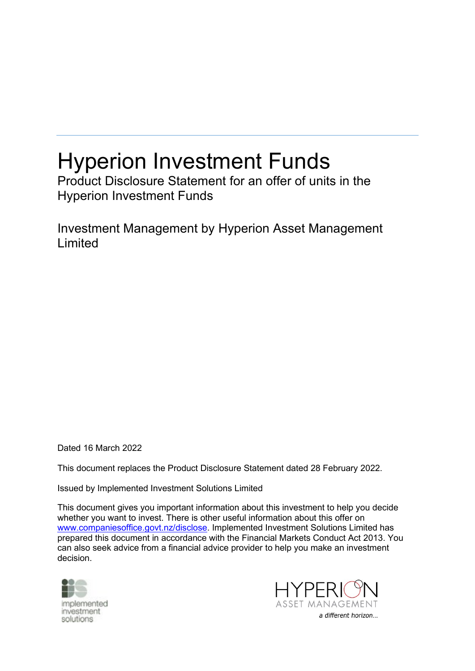# Hyperion Investment Funds

Product Disclosure Statement for an offer of units in the Hyperion Investment Funds

Investment Management by Hyperion Asset Management Limited

Dated 16 March 2022

This document replaces the Product Disclosure Statement dated 28 February 2022.

Issued by Implemented Investment Solutions Limited

This document gives you important information about this investment to help you decide whether you want to invest. There is other useful information about this offer on [www.companiesoffice.govt.nz/disclose.](file:///C:/Users/justine.gainsford/AppData/Local/Microsoft/Windows/Temporary%20Internet%20Files/Content.Outlook/33VEJF1E/www.companiesoffice.govt.nz/disclose) Implemented Investment Solutions Limited has prepared this document in accordance with the Financial Markets Conduct Act 2013. You can also seek advice from a financial advice provider to help you make an investment decision.



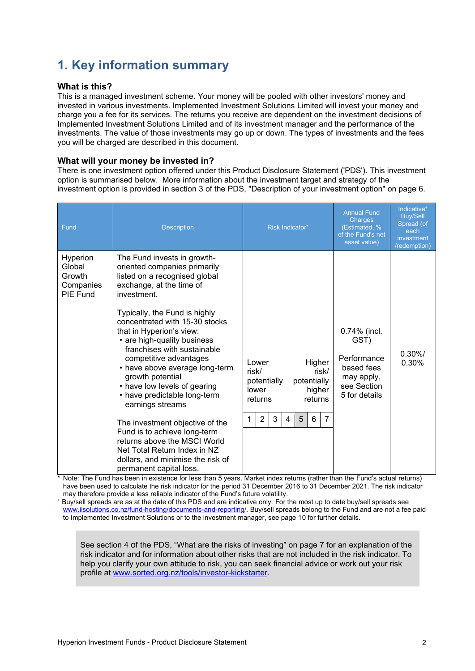# **1. Key information summary**

#### **What is this?**

This is a managed investment scheme. Your money will be pooled with other investors' money and invested in various investments. Implemented Investment Solutions Limited will invest your money and charge you a fee for its services. The returns you receive are dependent on the investment decisions of Implemented Investment Solutions Limited and of its investment manager and the performance of the investments. The value of those investments may go up or down. The types of investments and the fees you will be charged are described in this document.

#### **What will your money be invested in?**

There is one investment option offered under this Product Disclosure Statement ('PDS'). This investment option is summarised below. More information about the investment target and strategy of the investment option is provided in section [3](#page-5-0) of the PDS, "Description of your investment option" on page [6.](#page-5-0)

| Fund                                                  | <b>Description</b>                                                                                                                                                                                                                                                                                                                                                                                                                                                                                                                                                                                                                                                                                                                                                                                       | Risk Indicator*                                                                                                                                                  | <b>Annual Fund</b><br>Charges<br>(Estimated, %<br>of the Fund's net<br>asset value)             | Indicative <sup>+</sup><br><b>Buy/Sell</b><br>Spread (of<br>each<br>investment<br>/redemption) |
|-------------------------------------------------------|----------------------------------------------------------------------------------------------------------------------------------------------------------------------------------------------------------------------------------------------------------------------------------------------------------------------------------------------------------------------------------------------------------------------------------------------------------------------------------------------------------------------------------------------------------------------------------------------------------------------------------------------------------------------------------------------------------------------------------------------------------------------------------------------------------|------------------------------------------------------------------------------------------------------------------------------------------------------------------|-------------------------------------------------------------------------------------------------|------------------------------------------------------------------------------------------------|
| Hyperion<br>Global<br>Growth<br>Companies<br>PIE Fund | The Fund invests in growth-<br>oriented companies primarily<br>listed on a recognised global<br>exchange, at the time of<br>investment.<br>Typically, the Fund is highly<br>concentrated with 15-30 stocks<br>that in Hyperion's view:<br>• are high-quality business<br>franchises with sustainable<br>competitive advantages<br>• have above average long-term<br>growth potential<br>• have low levels of gearing<br>• have predictable long-term<br>earnings streams<br>The investment objective of the<br>Fund is to achieve long-term<br>returns above the MSCI World<br>Net Total Return Index in NZ<br>dollars, and minimise the risk of<br>permanent capital loss.<br>* Note: The Eund bee been in evictopes for less than E vegre Market indox returns (rether than the Eund's estual returns) | Higher<br>Lower<br>risk/<br>risk/<br>potentially<br>potentially<br>lower<br>higher<br>returns<br>returns<br>3<br>5<br>$\overline{7}$<br>$\overline{2}$<br>6<br>4 | 0.74% (incl.<br>GST)<br>Performance<br>based fees<br>may apply,<br>see Section<br>5 for details | $0.30\%/$<br>0.30%                                                                             |

Note: The Fund has been in existence for less than 5 years. Market index returns (rather than the Fund's actual returns) have been used to calculate the risk indicator for the period 31 December 2016 to 31 December 2021. The risk indicator may therefore provide a less reliable indicator of the Fund's future volatility.

Buy/sell spreads are as at the date of this PDS and are indicative only. For the most up to date buy/sell spreads see [www.iisolutions.co.nz/fund-hosting/documents-and-reporting/.](http://www.iisolutions.co.nz/fund-hosting/documents-and-reporting/) Buy/sell spreads belong to the Fund and are not a fee paid to Implemented Investment Solutions or to the investment manager, see page 10 for further details.

See section [4](#page-6-0) of the PDS, "What are the risks of investing" on page [7](#page-6-1) for an explanation of the risk indicator and for information about other risks that are not included in the risk indicator. To help you clarify your own attitude to risk, you can seek financial advice or work out your risk profile at [www.sorted.org.nz/tools/investor-kickstarter.](http://www.sorted.org.nz/tools/investor-kickstarter)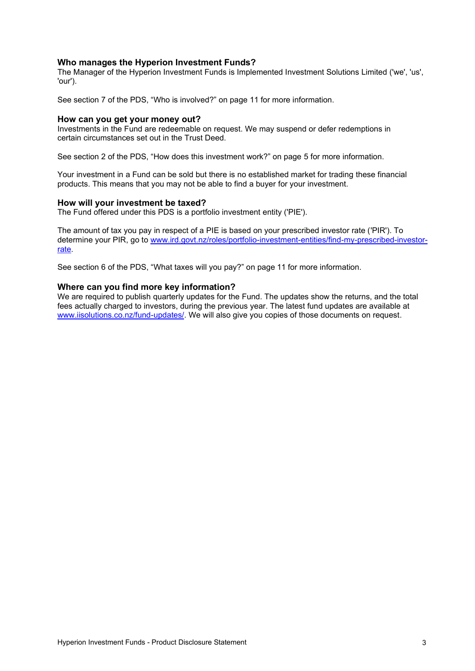#### **Who manages the Hyperion Investment Funds?**

The Manager of the Hyperion Investment Funds is Implemented Investment Solutions Limited ('we', 'us', 'our').

See section 7 of the PDS, "Who is involved?" on page [11](#page-10-0) for more information.

#### **How can you get your money out?**

Investments in the Fund are redeemable on request. We may suspend or defer redemptions in certain circumstances set out in the Trust Deed.

See section 2 of the PDS, "How does this investment work?" on page [5](#page-4-0) for more information.

Your investment in a Fund can be sold but there is no established market for trading these financial products. This means that you may not be able to find a buyer for your investment.

#### **How will your investment be taxed?**

The Fund offered under this PDS is a portfolio investment entity ('PIE').

The amount of tax you pay in respect of a PIE is based on your prescribed investor rate ('PIR'). To determine your PIR, go to [www.ird.govt.nz/roles/portfolio-investment-entities/find-my-prescribed-investor](http://www.ird.govt.nz/roles/portfolio-investment-entities/find-my-prescribed-investor-rate)[rate.](http://www.ird.govt.nz/roles/portfolio-investment-entities/find-my-prescribed-investor-rate)

See section 6 of the PDS, "What taxes will you pay?" on page [11](#page-10-1) for more information.

#### **Where can you find more key information?**

We are required to publish quarterly updates for the Fund. The updates show the returns, and the total fees actually charged to investors, during the previous year. The latest fund updates are available at www.iisolutions.co.nz/fund-updates/. We will also give you copies of those documents on request.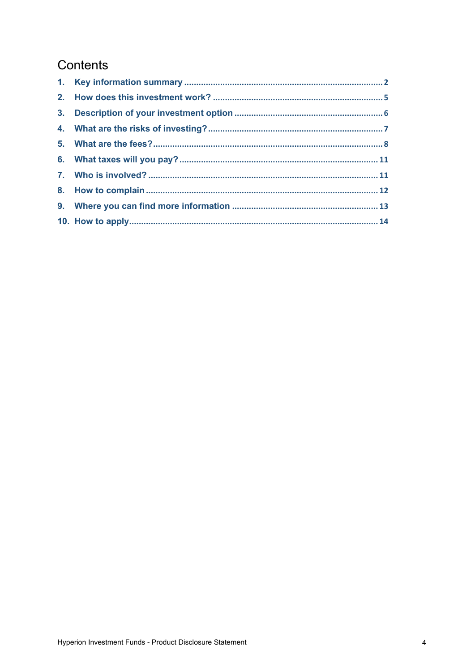# Contents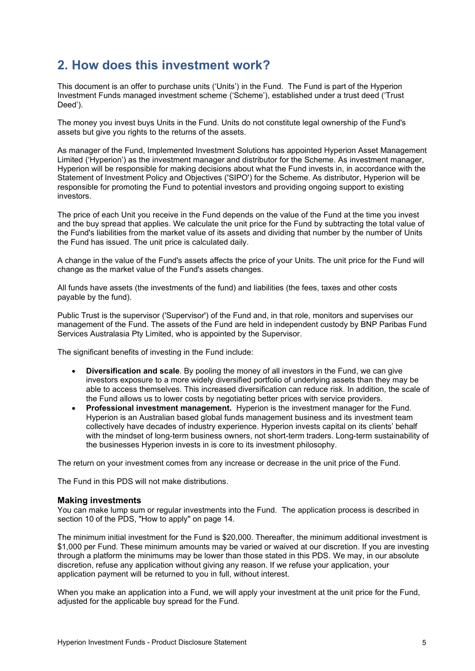# <span id="page-4-0"></span>**2. How does this investment work?**

This document is an offer to purchase units ('Units') in the Fund. The Fund is part of the Hyperion Investment Funds managed investment scheme ('Scheme'), established under a trust deed ('Trust Deed').

The money you invest buys Units in the Fund. Units do not constitute legal ownership of the Fund's assets but give you rights to the returns of the assets.

As manager of the Fund, Implemented Investment Solutions has appointed Hyperion Asset Management Limited ('Hyperion') as the investment manager and distributor for the Scheme. As investment manager, Hyperion will be responsible for making decisions about what the Fund invests in, in accordance with the Statement of Investment Policy and Objectives ('SIPO') for the Scheme. As distributor, Hyperion will be responsible for promoting the Fund to potential investors and providing ongoing support to existing investors.

The price of each Unit you receive in the Fund depends on the value of the Fund at the time you invest and the buy spread that applies. We calculate the unit price for the Fund by subtracting the total value of the Fund's liabilities from the market value of its assets and dividing that number by the number of Units the Fund has issued. The unit price is calculated daily.

A change in the value of the Fund's assets affects the price of your Units. The unit price for the Fund will change as the market value of the Fund's assets changes.

All funds have assets (the investments of the fund) and liabilities (the fees, taxes and other costs payable by the fund).

Public Trust is the supervisor ('Supervisor') of the Fund and, in that role, monitors and supervises our management of the Fund. The assets of the Fund are held in independent custody by BNP Paribas Fund Services Australasia Pty Limited, who is appointed by the Supervisor.

The significant benefits of investing in the Fund include:

- **Diversification and scale**. By pooling the money of all investors in the Fund, we can give investors exposure to a more widely diversified portfolio of underlying assets than they may be able to access themselves. This increased diversification can reduce risk. In addition, the scale of the Fund allows us to lower costs by negotiating better prices with service providers.
- **Professional investment management.** Hyperion is the investment manager for the Fund. Hyperion is an Australian based global funds management business and its investment team collectively have decades of industry experience. Hyperion invests capital on its clients' behalf with the mindset of long-term business owners, not short-term traders. Long-term sustainability of the businesses Hyperion invests in is core to its investment philosophy.

The return on your investment comes from any increase or decrease in the unit price of the Fund.

The Fund in this PDS will not make distributions.

#### **Making investments**

You can make lump sum or regular investments into the Fund. The application process is described in section 10 of the PDS, "How to apply" on page [14.](#page-12-0)

The minimum initial investment for the Fund is \$20,000. Thereafter, the minimum additional investment is \$1,000 per Fund. These minimum amounts may be varied or waived at our discretion. If you are investing through a platform the minimums may be lower than those stated in this PDS. We may, in our absolute discretion, refuse any application without giving any reason. If we refuse your application, your application payment will be returned to you in full, without interest.

When you make an application into a Fund, we will apply your investment at the unit price for the Fund, adjusted for the applicable buy spread for the Fund.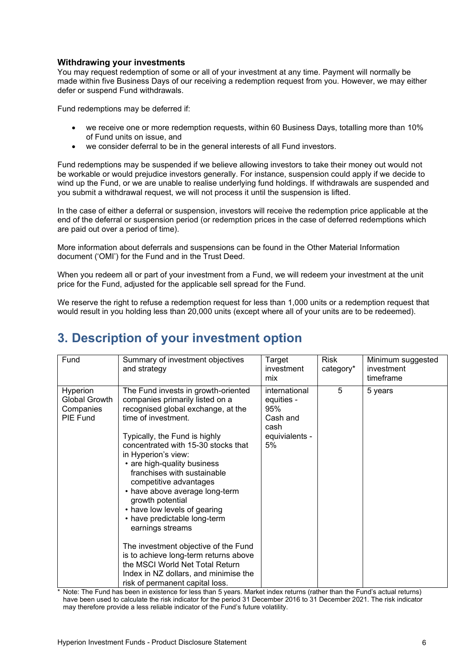#### **Withdrawing your investments**

You may request redemption of some or all of your investment at any time. Payment will normally be made within five Business Days of our receiving a redemption request from you. However, we may either defer or suspend Fund withdrawals.

Fund redemptions may be deferred if:

- we receive one or more redemption requests, within 60 Business Days, totalling more than 10% of Fund units on issue, and
- we consider deferral to be in the general interests of all Fund investors.

Fund redemptions may be suspended if we believe allowing investors to take their money out would not be workable or would prejudice investors generally. For instance, suspension could apply if we decide to wind up the Fund, or we are unable to realise underlying fund holdings. If withdrawals are suspended and you submit a withdrawal request, we will not process it until the suspension is lifted.

In the case of either a deferral or suspension, investors will receive the redemption price applicable at the end of the deferral or suspension period (or redemption prices in the case of deferred redemptions which are paid out over a period of time).

More information about deferrals and suspensions can be found in the Other Material Information document ('OMI') for the Fund and in the Trust Deed.

When you redeem all or part of your investment from a Fund, we will redeem your investment at the unit price for the Fund, adjusted for the applicable sell spread for the Fund.

We reserve the right to refuse a redemption request for less than 1,000 units or a redemption request that would result in you holding less than 20,000 units (except where all of your units are to be redeemed).

# <span id="page-5-0"></span>**3. Description of your investment option**

| Fund                                                      | Summary of investment objectives<br>and strategy                                                                                                                                                                                                                                                                                                                                                                                                                                                                                                                                                                                                                     | Target<br>investment<br>mix                                                    | <b>Risk</b><br>category* | Minimum suggested<br>investment<br>timeframe |
|-----------------------------------------------------------|----------------------------------------------------------------------------------------------------------------------------------------------------------------------------------------------------------------------------------------------------------------------------------------------------------------------------------------------------------------------------------------------------------------------------------------------------------------------------------------------------------------------------------------------------------------------------------------------------------------------------------------------------------------------|--------------------------------------------------------------------------------|--------------------------|----------------------------------------------|
| Hyperion<br><b>Global Growth</b><br>Companies<br>PIE Fund | The Fund invests in growth-oriented<br>companies primarily listed on a<br>recognised global exchange, at the<br>time of investment.<br>Typically, the Fund is highly<br>concentrated with 15-30 stocks that<br>in Hyperion's view:<br>• are high-quality business<br>franchises with sustainable<br>competitive advantages<br>• have above average long-term<br>growth potential<br>• have low levels of gearing<br>• have predictable long-term<br>earnings streams<br>The investment objective of the Fund<br>is to achieve long-term returns above<br>the MSCI World Net Total Return<br>Index in NZ dollars, and minimise the<br>risk of permanent capital loss. | international<br>equities -<br>95%<br>Cash and<br>cash<br>equivialents -<br>5% | 5                        | 5 years                                      |

\* Note: The Fund has been in existence for less than 5 years. Market index returns (rather than the Fund's actual returns) have been used to calculate the risk indicator for the period 31 December 2016 to 31 December 2021. The risk indicator may therefore provide a less reliable indicator of the Fund's future volatility.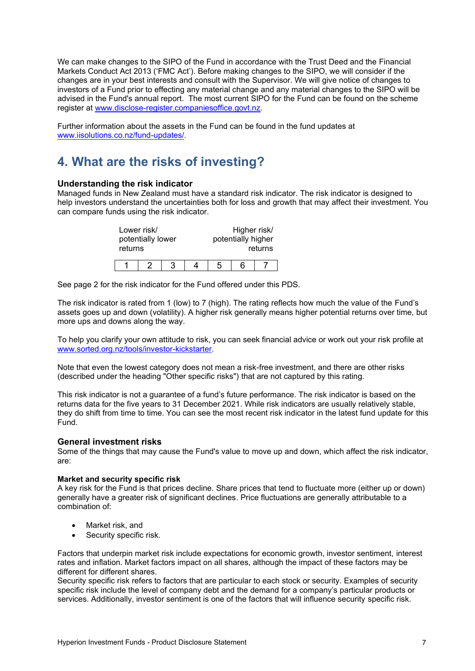We can make changes to the SIPO of the Fund in accordance with the Trust Deed and the Financial Markets Conduct Act 2013 ('FMC Act'). Before making changes to the SIPO, we will consider if the changes are in your best interests and consult with the Supervisor. We will give notice of changes to investors of a Fund prior to effecting any material change and any material changes to the SIPO will be advised in the Fund's annual report. The most current SIPO for the Fund can be found on the scheme register at [www.disclose-register.companiesoffice.govt.nz.](http://www.disclose-register.companiesoffice.govt.nz/)

Further information about the assets in the Fund can be found in the fund updates at www.iisolutions.co.nz/fund-updates/.

# <span id="page-6-0"></span>**4. What are the risks of investing?**

#### **Understanding the risk indicator**

Managed funds in New Zealand must have a standard risk indicator. The risk indicator is designed to help investors understand the uncertainties both for loss and growth that may affect their investment. You can compare funds using the risk indicator.

<span id="page-6-1"></span>

| returns | Lower risk/<br>potentially lower |  | Higher risk/<br>potentially higher | returns |
|---------|----------------------------------|--|------------------------------------|---------|
|         |                                  |  | ิค                                 |         |

See page 2 for the risk indicator for the Fund offered under this PDS.

The risk indicator is rated from 1 (low) to 7 (high). The rating reflects how much the value of the Fund's assets goes up and down (volatility). A higher risk generally means higher potential returns over time, but more ups and downs along the way.

To help you clarify your own attitude to risk, you can seek financial advice or work out your risk profile at [www.sorted.org.nz/tools/investor-kickstarter.](http://www.sorted.org.nz/tools/investor-kickstarter)

Note that even the lowest category does not mean a risk-free investment, and there are other risks (described under the heading "Other specific risks") that are not captured by this rating.

This risk indicator is not a guarantee of a fund's future performance. The risk indicator is based on the returns data for the five years to 31 December 2021. While risk indicators are usually relatively stable, they do shift from time to time. You can see the most recent risk indicator in the latest fund update for this Fund.

#### **General investment risks**

Some of the things that may cause the Fund's value to move up and down, which affect the risk indicator, are:

#### **Market and security specific risk**

A key risk for the Fund is that prices decline. Share prices that tend to fluctuate more (either up or down) generally have a greater risk of significant declines. Price fluctuations are generally attributable to a combination of:

- Market risk, and
- Security specific risk.

Factors that underpin market risk include expectations for economic growth, investor sentiment, interest rates and inflation. Market factors impact on all shares, although the impact of these factors may be different for different shares.

Security specific risk refers to factors that are particular to each stock or security. Examples of security specific risk include the level of company debt and the demand for a company's particular products or services. Additionally, investor sentiment is one of the factors that will influence security specific risk.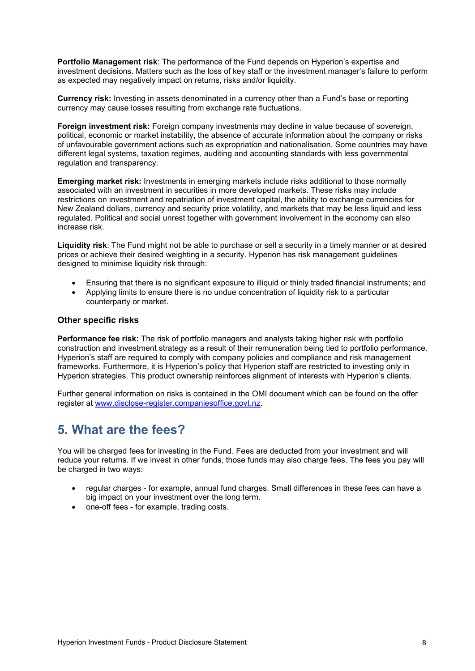**Portfolio Management risk**: The performance of the Fund depends on Hyperion's expertise and investment decisions. Matters such as the loss of key staff or the investment manager's failure to perform as expected may negatively impact on returns, risks and/or liquidity.

**Currency risk:** Investing in assets denominated in a currency other than a Fund's base or reporting currency may cause losses resulting from exchange rate fluctuations.

**Foreign investment risk:** Foreign company investments may decline in value because of sovereign, political, economic or market instability, the absence of accurate information about the company or risks of unfavourable government actions such as expropriation and nationalisation. Some countries may have different legal systems, taxation regimes, auditing and accounting standards with less governmental regulation and transparency.

**Emerging market risk:** Investments in emerging markets include risks additional to those normally associated with an investment in securities in more developed markets. These risks may include restrictions on investment and repatriation of investment capital, the ability to exchange currencies for New Zealand dollars, currency and security price volatility, and markets that may be less liquid and less regulated. Political and social unrest together with government involvement in the economy can also increase risk.

**Liquidity risk**: The Fund might not be able to purchase or sell a security in a timely manner or at desired prices or achieve their desired weighting in a security. Hyperion has risk management guidelines designed to minimise liquidity risk through:

- Ensuring that there is no significant exposure to illiquid or thinly traded financial instruments; and
- Applying limits to ensure there is no undue concentration of liquidity risk to a particular counterparty or market.

#### **Other specific risks**

**Performance fee risk:** The risk of portfolio managers and analysts taking higher risk with portfolio construction and investment strategy as a result of their remuneration being tied to portfolio performance. Hyperion's staff are required to comply with company policies and compliance and risk management frameworks. Furthermore, it is Hyperion's policy that Hyperion staff are restricted to investing only in Hyperion strategies. This product ownership reinforces alignment of interests with Hyperion's clients.

Further general information on risks is contained in the OMI document which can be found on the offer register at [www.disclose-register.companiesoffice.govt.nz.](http://www.disclose-register.companiesoffice.govt.nz/)

# **5. What are the fees?**

You will be charged fees for investing in the Fund. Fees are deducted from your investment and will reduce your returns. If we invest in other funds, those funds may also charge fees. The fees you pay will be charged in two ways:

- regular charges for example, annual fund charges. Small differences in these fees can have a big impact on your investment over the long term.
- one-off fees for example, trading costs.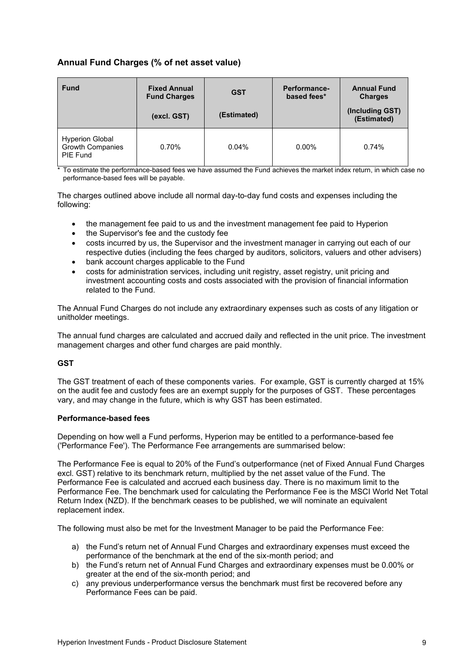#### **Annual Fund Charges (% of net asset value)**

| <b>Fund</b>                                                          | <b>Fixed Annual</b><br><b>Fund Charges</b><br>(excl. GST) | <b>GST</b><br>(Estimated) | Performance-<br>based fees* | <b>Annual Fund</b><br><b>Charges</b><br>(Including GST)<br>(Estimated) |
|----------------------------------------------------------------------|-----------------------------------------------------------|---------------------------|-----------------------------|------------------------------------------------------------------------|
| <b>Hyperion Global</b><br><b>Growth Companies</b><br><b>PIE Fund</b> | 0.70%                                                     | 0.04%                     | $0.00\%$                    | 0.74%                                                                  |

\* To estimate the performance-based fees we have assumed the Fund achieves the market index return, in which case no performance-based fees will be payable.

The charges outlined above include all normal day-to-day fund costs and expenses including the following:

- the management fee paid to us and the investment management fee paid to Hyperion
- the Supervisor's fee and the custody fee
- costs incurred by us, the Supervisor and the investment manager in carrying out each of our respective duties (including the fees charged by auditors, solicitors, valuers and other advisers)
- bank account charges applicable to the Fund
- costs for administration services, including unit registry, asset registry, unit pricing and investment accounting costs and costs associated with the provision of financial information related to the Fund.

The Annual Fund Charges do not include any extraordinary expenses such as costs of any litigation or unitholder meetings.

The annual fund charges are calculated and accrued daily and reflected in the unit price. The investment management charges and other fund charges are paid monthly.

#### **GST**

The GST treatment of each of these components varies. For example, GST is currently charged at 15% on the audit fee and custody fees are an exempt supply for the purposes of GST. These percentages vary, and may change in the future, which is why GST has been estimated.

#### **Performance-based fees**

Depending on how well a Fund performs, Hyperion may be entitled to a performance-based fee ('Performance Fee'). The Performance Fee arrangements are summarised below:

The Performance Fee is equal to 20% of the Fund's outperformance (net of Fixed Annual Fund Charges excl. GST) relative to its benchmark return, multiplied by the net asset value of the Fund. The Performance Fee is calculated and accrued each business day. There is no maximum limit to the Performance Fee. The benchmark used for calculating the Performance Fee is the MSCI World Net Total Return Index (NZD). If the benchmark ceases to be published, we will nominate an equivalent replacement index.

The following must also be met for the Investment Manager to be paid the Performance Fee:

- a) the Fund's return net of Annual Fund Charges and extraordinary expenses must exceed the performance of the benchmark at the end of the six-month period; and
- b) the Fund's return net of Annual Fund Charges and extraordinary expenses must be 0.00% or greater at the end of the six-month period; and
- c) any previous underperformance versus the benchmark must first be recovered before any Performance Fees can be paid.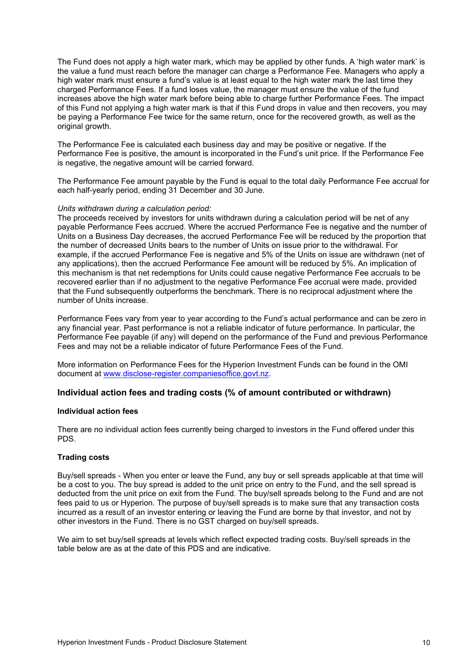The Fund does not apply a high water mark, which may be applied by other funds. A 'high water mark' is the value a fund must reach before the manager can charge a Performance Fee. Managers who apply a high water mark must ensure a fund's value is at least equal to the high water mark the last time they charged Performance Fees. If a fund loses value, the manager must ensure the value of the fund increases above the high water mark before being able to charge further Performance Fees. The impact of this Fund not applying a high water mark is that if this Fund drops in value and then recovers, you may be paying a Performance Fee twice for the same return, once for the recovered growth, as well as the original growth.

The Performance Fee is calculated each business day and may be positive or negative. If the Performance Fee is positive, the amount is incorporated in the Fund's unit price. If the Performance Fee is negative, the negative amount will be carried forward.

The Performance Fee amount payable by the Fund is equal to the total daily Performance Fee accrual for each half-yearly period, ending 31 December and 30 June.

#### *Units withdrawn during a calculation period:*

The proceeds received by investors for units withdrawn during a calculation period will be net of any payable Performance Fees accrued. Where the accrued Performance Fee is negative and the number of Units on a Business Day decreases, the accrued Performance Fee will be reduced by the proportion that the number of decreased Units bears to the number of Units on issue prior to the withdrawal. For example, if the accrued Performance Fee is negative and 5% of the Units on issue are withdrawn (net of any applications), then the accrued Performance Fee amount will be reduced by 5%. An implication of this mechanism is that net redemptions for Units could cause negative Performance Fee accruals to be recovered earlier than if no adjustment to the negative Performance Fee accrual were made, provided that the Fund subsequently outperforms the benchmark. There is no reciprocal adjustment where the number of Units increase.

Performance Fees vary from year to year according to the Fund's actual performance and can be zero in any financial year. Past performance is not a reliable indicator of future performance. In particular, the Performance Fee payable (if any) will depend on the performance of the Fund and previous Performance Fees and may not be a reliable indicator of future Performance Fees of the Fund.

More information on Performance Fees for the Hyperion Investment Funds can be found in the OMI document at [www.disclose-register.companiesoffice.govt.nz.](http://www.disclose-register.companiesoffice.govt.nz/)

#### **Individual action fees and trading costs (% of amount contributed or withdrawn)**

#### **Individual action fees**

There are no individual action fees currently being charged to investors in the Fund offered under this PDS.

#### **Trading costs**

Buy/sell spreads - When you enter or leave the Fund, any buy or sell spreads applicable at that time will be a cost to you. The buy spread is added to the unit price on entry to the Fund, and the sell spread is deducted from the unit price on exit from the Fund. The buy/sell spreads belong to the Fund and are not fees paid to us or Hyperion. The purpose of buy/sell spreads is to make sure that any transaction costs incurred as a result of an investor entering or leaving the Fund are borne by that investor, and not by other investors in the Fund. There is no GST charged on buy/sell spreads.

We aim to set buy/sell spreads at levels which reflect expected trading costs. Buy/sell spreads in the table below are as at the date of this PDS and are indicative.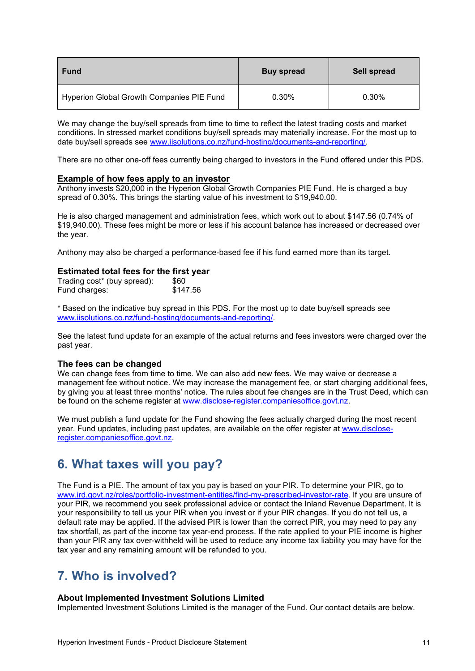| <b>Fund</b>                               | <b>Buy spread</b> | Sell spread |
|-------------------------------------------|-------------------|-------------|
| Hyperion Global Growth Companies PIE Fund | 0.30%             | 0.30%       |

We may change the buy/sell spreads from time to time to reflect the latest trading costs and market conditions. In stressed market conditions buy/sell spreads may materially increase. For the most up to date buy/sell spreads see [www.iisolutions.co.nz/fund-hosting/documents-and-reporting/.](http://www.iisolutions.co.nz/fund-hosting/documents-and-reporting/)

There are no other one-off fees currently being charged to investors in the Fund offered under this PDS.

#### **Example of how fees apply to an investor**

Anthony invests \$20,000 in the Hyperion Global Growth Companies PIE Fund. He is charged a buy spread of 0.30%. This brings the starting value of his investment to \$19,940.00.

He is also charged management and administration fees, which work out to about \$147.56 (0.74% of \$19,940.00). These fees might be more or less if his account balance has increased or decreased over the year.

Anthony may also be charged a performance-based fee if his fund earned more than its target.

#### **Estimated total fees for the first year**

| Trading cost* (buy spread): | \$60     |
|-----------------------------|----------|
| Fund charges:               | \$147.56 |

\* Based on the indicative buy spread in this PDS. For the most up to date buy/sell spreads see [www.iisolutions.co.nz/fund-hosting/documents-and-reporting/.](http://www.iisolutions.co.nz/fund-hosting/documents-and-reporting/)

See the latest fund update for an example of the actual returns and fees investors were charged over the past year.

#### **The fees can be changed**

We can change fees from time to time. We can also add new fees. We may waive or decrease a management fee without notice. We may increase the management fee, or start charging additional fees, by giving you at least three months' notice. The rules about fee changes are in the Trust Deed, which can be found on the scheme register at [www.disclose-register.companiesoffice.govt.nz.](http://www.disclose-register.companiesoffice.govt.nz/)

We must publish a fund update for the Fund showing the fees actually charged during the most recent year. Fund updates, including past updates, are available on the offer register at [www.disclose](http://www.disclose-register.companiesoffice.govt.nz/)[register.companiesoffice.govt.nz.](http://www.disclose-register.companiesoffice.govt.nz/)

# <span id="page-10-1"></span>**6. What taxes will you pay?**

The Fund is a PIE. The amount of tax you pay is based on your PIR. To determine your PIR, go to [www.ird.govt.nz/roles/portfolio-investment-entities/find-my-prescribed-investor-rate.](http://www.ird.govt.nz/roles/portfolio-investment-entities/find-my-prescribed-investor-rate) If you are unsure of your PIR, we recommend you seek professional advice or contact the Inland Revenue Department. It is your responsibility to tell us your PIR when you invest or if your PIR changes. If you do not tell us, a default rate may be applied. If the advised PIR is lower than the correct PIR, you may need to pay any tax shortfall, as part of the income tax year-end process. If the rate applied to your PIE income is higher than your PIR any tax over-withheld will be used to reduce any income tax liability you may have for the tax year and any remaining amount will be refunded to you.

# <span id="page-10-0"></span>**7. Who is involved?**

#### **About Implemented Investment Solutions Limited**

Implemented Investment Solutions Limited is the manager of the Fund. Our contact details are below.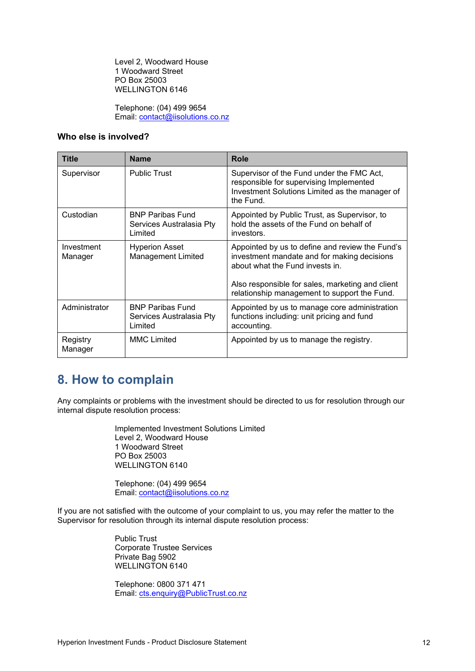Level 2, Woodward House 1 Woodward Street PO Box 25003 WELLINGTON 6146

Telephone: (04) 499 9654 Email: [contact@iisolutions.co.nz](mailto:contact@iisolutions.co.nz)

#### **Who else is involved?**

| <b>Title</b>          | <b>Name</b>                                                    | Role                                                                                                                                                                                                                                  |
|-----------------------|----------------------------------------------------------------|---------------------------------------------------------------------------------------------------------------------------------------------------------------------------------------------------------------------------------------|
| Supervisor            | <b>Public Trust</b>                                            | Supervisor of the Fund under the FMC Act,<br>responsible for supervising Implemented<br>Investment Solutions Limited as the manager of<br>the Fund.                                                                                   |
| Custodian             | <b>BNP Paribas Fund</b><br>Services Australasia Pty<br>Limited | Appointed by Public Trust, as Supervisor, to<br>hold the assets of the Fund on behalf of<br>investors.                                                                                                                                |
| Investment<br>Manager | <b>Hyperion Asset</b><br>Management Limited                    | Appointed by us to define and review the Fund's<br>investment mandate and for making decisions<br>about what the Fund invests in.<br>Also responsible for sales, marketing and client<br>relationship management to support the Fund. |
| Administrator         | <b>BNP Paribas Fund</b><br>Services Australasia Pty<br>Limited | Appointed by us to manage core administration<br>functions including: unit pricing and fund<br>accounting.                                                                                                                            |
| Registry<br>Manager   | <b>MMC Limited</b>                                             | Appointed by us to manage the registry.                                                                                                                                                                                               |

# **8. How to complain**

Any complaints or problems with the investment should be directed to us for resolution through our internal dispute resolution process:

> Implemented Investment Solutions Limited Level 2, Woodward House 1 Woodward Street PO Box 25003 WELLINGTON 6140

Telephone: (04) 499 9654 Email: [contact@iisolutions.co.nz](mailto:contact@iisolutions.co.nz)

If you are not satisfied with the outcome of your complaint to us, you may refer the matter to the Supervisor for resolution through its internal dispute resolution process:

> Public Trust Corporate Trustee Services Private Bag 5902 WELLINGTON 6140

Telephone: 0800 371 471 Email: [cts.enquiry@PublicTrust.co.nz](mailto:cts.enquiry@PublicTrust.co.nz)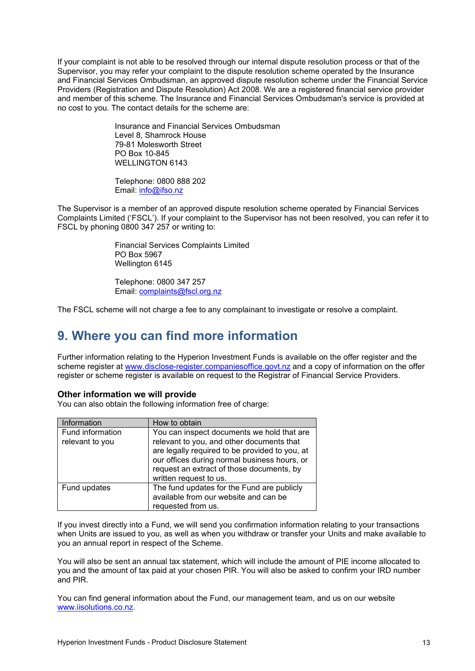If your complaint is not able to be resolved through our internal dispute resolution process or that of the Supervisor, you may refer your complaint to the dispute resolution scheme operated by the Insurance and Financial Services Ombudsman, an approved dispute resolution scheme under the Financial Service Providers (Registration and Dispute Resolution) Act 2008. We are a registered financial service provider and member of this scheme. The Insurance and Financial Services Ombudsman's service is provided at no cost to you. The contact details for the scheme are:

> Insurance and Financial Services Ombudsman Level 8, Shamrock House 79-81 Molesworth Street PO Box 10-845 WELLINGTON 6143

Telephone: 0800 888 202 Email: [info@ifso.nz](mailto:info@ifso.nz)

The Supervisor is a member of an approved dispute resolution scheme operated by Financial Services Complaints Limited ('FSCL'). If your complaint to the Supervisor has not been resolved, you can refer it to FSCL by phoning 0800 347 257 or writing to:

> Financial Services Complaints Limited PO Box 5967 Wellington 6145

Telephone: 0800 347 257 Email: [complaints@fscl.org.nz](mailto:complaints@fscl.org.nz)

The FSCL scheme will not charge a fee to any complainant to investigate or resolve a complaint.

# **9. Where you can find more information**

Further information relating to the Hyperion Investment Funds is available on the offer register and the scheme register at [www.disclose-register.companiesoffice.govt.nz](http://www.disclose-register.companiesoffice.govt.nz/) and a copy of information on the offer register or scheme register is available on request to the Registrar of Financial Service Providers.

#### **Other information we will provide**

You can also obtain the following information free of charge:

| Information                         | How to obtain                                                                                                                                                                                                                                                    |
|-------------------------------------|------------------------------------------------------------------------------------------------------------------------------------------------------------------------------------------------------------------------------------------------------------------|
| Fund information<br>relevant to you | You can inspect documents we hold that are<br>relevant to you, and other documents that<br>are legally required to be provided to you, at<br>our offices during normal business hours, or<br>request an extract of those documents, by<br>written request to us. |
| Fund updates                        | The fund updates for the Fund are publicly<br>available from our website and can be<br>requested from us.                                                                                                                                                        |

If you invest directly into a Fund, we will send you confirmation information relating to your transactions when Units are issued to you, as well as when you withdraw or transfer your Units and make available to you an annual report in respect of the Scheme.

You will also be sent an annual tax statement, which will include the amount of PIE income allocated to you and the amount of tax paid at your chosen PIR. You will also be asked to confirm your IRD number and PIR.

<span id="page-12-0"></span>You can find general information about the Fund, our management team, and us on our website [www.iisolutions.co.nz](http://www.iisolutions.co.nz/).